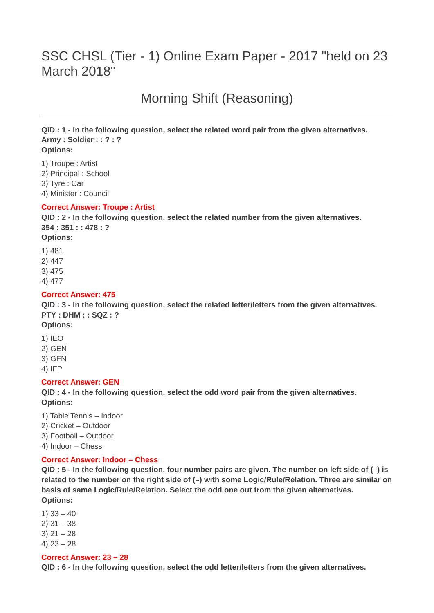# SSC CHSL (Tier - 1) Online Exam Paper - 2017 "held on 23 March 2018"

Morning Shift (Reasoning)

**QID : 1 - In the following question, select the related word pair from the given alternatives. Army : Soldier : : ? : ? Options:**

1) Troupe : Artist 2) Principal : School 3) Tyre : Car 4) Minister : Council

#### **Correct Answer: Troupe : Artist**

**QID : 2 - In the following question, select the related number from the given alternatives. 354 : 351 : : 478 : ? Options:**

1) 481 2) 447

3) 475 4) 477

# **Correct Answer: 475**

**QID : 3 - In the following question, select the related letter/letters from the given alternatives. PTY : DHM : : SQZ : ?**

**Options:**

- 1) IEO 2) GEN
- 3) GFN

4) IFP

## **Correct Answer: GEN**

**QID : 4 - In the following question, select the odd word pair from the given alternatives. Options:**

1) Table Tennis – Indoor

2) Cricket – Outdoor

3) Football – Outdoor

4) Indoor – Chess

## **Correct Answer: Indoor – Chess**

**QID : 5 - In the following question, four number pairs are given. The number on left side of (–) is related to the number on the right side of (–) with some Logic/Rule/Relation. Three are similar on basis of same Logic/Rule/Relation. Select the odd one out from the given alternatives. Options:**

1)  $33 - 40$ 

- 2) 31 38
- $3)$  21 28
- 4) 23 28

#### **Correct Answer: 23 – 28**

**QID : 6 - In the following question, select the odd letter/letters from the given alternatives.**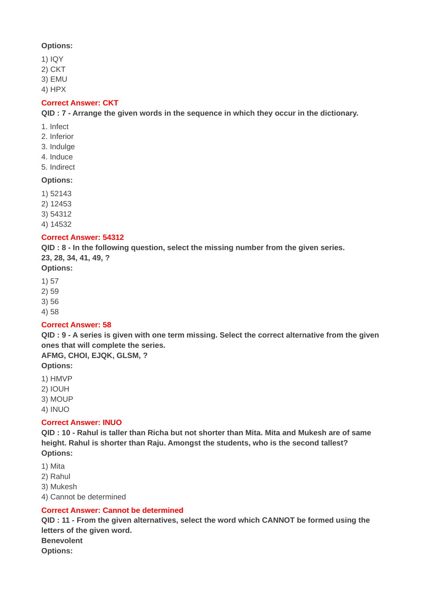## **Options:**

- 1) IQY
- 2) CKT
- 3) EMU
- 4) HPX

## **Correct Answer: CKT**

**QID : 7 - Arrange the given words in the sequence in which they occur in the dictionary.**

- 1. Infect
- 2. Inferior
- 3. Indulge
- 4. Induce
- 5. Indirect

#### **Options:**

- 1) 52143
- 2) 12453
- 3) 54312
- 4) 14532

## **Correct Answer: 54312**

**QID : 8 - In the following question, select the missing number from the given series. 23, 28, 34, 41, 49, ?**

## **Options:**

- 1) 57
- 2) 59
- 3) 56
- 4) 58

# **Correct Answer: 58**

**QID : 9 - A series is given with one term missing. Select the correct alternative from the given ones that will complete the series.**

- **AFMG, CHOI, EJQK, GLSM, ?**
- **Options:**
- 1) HMVP
- 2) IOUH
- 3) MOUP
- 4) INUO

## **Correct Answer: INUO**

**QID : 10 - Rahul is taller than Richa but not shorter than Mita. Mita and Mukesh are of same height. Rahul is shorter than Raju. Amongst the students, who is the second tallest? Options:**

- 1) Mita
- 2) Rahul
- 3) Mukesh
- 4) Cannot be determined

## **Correct Answer: Cannot be determined**

**QID : 11 - From the given alternatives, select the word which CANNOT be formed using the letters of the given word. Benevolent Options:**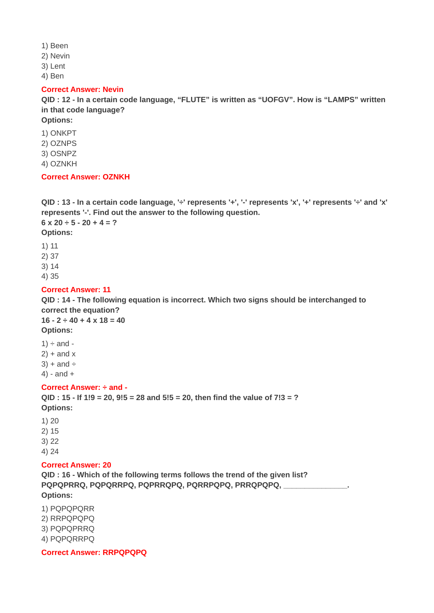- 1) Been
- 2) Nevin
- 3) Lent
- 4) Ben

#### **Correct Answer: Nevin**

**QID : 12 - In a certain code language, "FLUTE" is written as "UOFGV". How is "LAMPS" written in that code language?**

**Options:**

- 1) ONKPT
- 2) OZNPS
- 3) OSNPZ
- 4) OZNKH

## **Correct Answer: OZNKH**

**QID : 13 - In a certain code language, '÷' represents '+', '-' represents 'x', '+' represents '÷' and 'x' represents '-'. Find out the answer to the following question. 6 x 20 ÷ 5 - 20 + 4 = ?**

**Options:**

- 1) 11
- 2) 37

3) 14

4) 35

# **Correct Answer: 11**

**QID : 14 - The following equation is incorrect. Which two signs should be interchanged to correct the equation?**

 $16 - 2 \div 40 + 4 \times 18 = 40$ **Options:**

 $1) \div$  and - $2$ ) + and x  $3) +$  and  $\div$ 4) - and +

## **Correct Answer: ÷ and -**

**QID : 15 - If 1!9 = 20, 9!5 = 28 and 5!5 = 20, then find the value of 7!3 = ? Options:**

1) 20 2) 15 3) 22

4) 24

# **Correct Answer: 20**

**QID : 16 - Which of the following terms follows the trend of the given list? PQPQPRRQ, PQPQRRPQ, PQPRRQPQ, PQRRPQPQ, PRRQPQPQ, \_\_\_\_\_\_\_\_\_\_\_\_\_\_\_. Options:**

1) PQPQPQRR 2) RRPQPQPQ 3) PQPQPRRQ 4) PQPQRRPQ

**Correct Answer: RRPQPQPQ**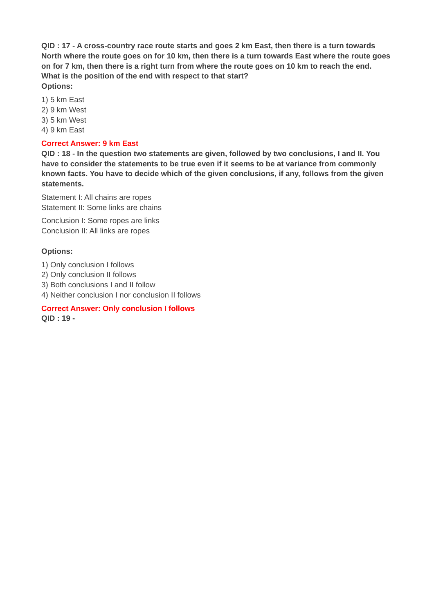**QID : 17 - A cross-country race route starts and goes 2 km East, then there is a turn towards North where the route goes on for 10 km, then there is a turn towards East where the route goes on for 7 km, then there is a right turn from where the route goes on 10 km to reach the end. What is the position of the end with respect to that start? Options:**

1) 5 km East

- 2) 9 km West
- 3) 5 km West
- 4) 9 km East

#### **Correct Answer: 9 km East**

**QID : 18 - In the question two statements are given, followed by two conclusions, I and II. You have to consider the statements to be true even if it seems to be at variance from commonly known facts. You have to decide which of the given conclusions, if any, follows from the given statements.**

Statement I: All chains are ropes Statement II: Some links are chains

Conclusion I: Some ropes are links Conclusion II: All links are ropes

## **Options:**

- 1) Only conclusion I follows
- 2) Only conclusion II follows
- 3) Both conclusions I and II follow

4) Neither conclusion I nor conclusion II follows

#### **Correct Answer: Only conclusion I follows QID : 19 -**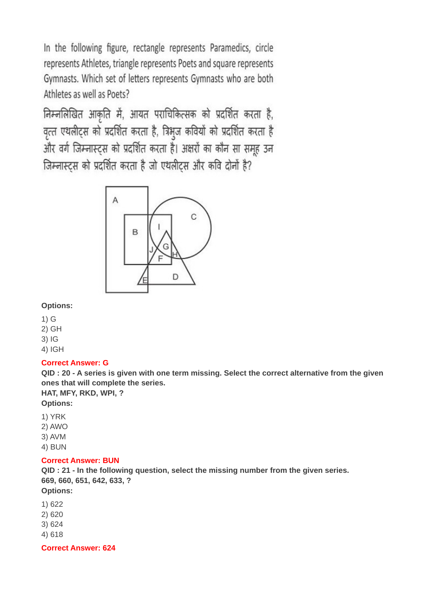In the following figure, rectangle represents Paramedics, circle represents Athletes, triangle represents Poets and square represents Gymnasts. Which set of letters represents Gymnasts who are both Athletes as well as Poets?

निम्नलिखित आकृति में, आयत पराचिकित्सक को प्रदर्शित करता है, वृत्त एथलीट्स को प्रदर्शित करता है, त्रिभुज कवियों को प्रदर्शित करता है और वर्ग जिम्नास्ट्स को प्रदर्शित करता है। अक्षरों का कौन सा समूह उन जिम्नास्ट्स को प्रदर्शित करता है जो एथलीट्स और कवि दोनों है?



## **Options:**

- 1) G
- 2) GH
- 3) IG
- 4) IGH

# **Correct Answer: G**

**QID : 20 - A series is given with one term missing. Select the correct alternative from the given ones that will complete the series.**

**HAT, MFY, RKD, WPI, ?**

**Options:**

1) YRK

- 2) AWO
- 3) AVM
- 4) BUN

# **Correct Answer: BUN**

**QID : 21 - In the following question, select the missing number from the given series. 669, 660, 651, 642, 633, ?**

**Options:**

- 1) 622
- 2) 620
- 3) 624
- 4) 618

**Correct Answer: 624**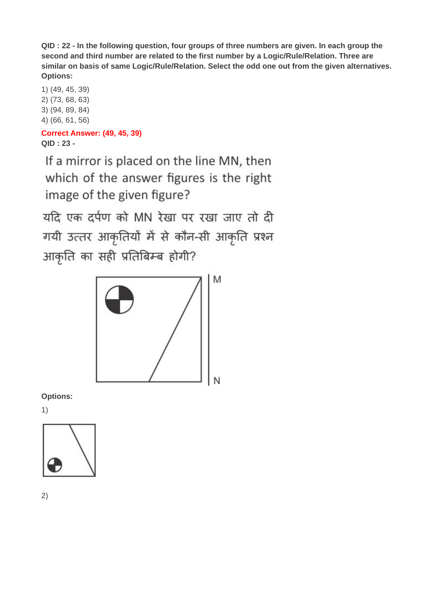**QID : 22 - In the following question, four groups of three numbers are given. In each group the second and third number are related to the first number by a Logic/Rule/Relation. Three are similar on basis of same Logic/Rule/Relation. Select the odd one out from the given alternatives. Options:**

1) (49, 45, 39) 2) (73, 68, 63) 3) (94, 89, 84) 4) (66, 61, 56)

# **Correct Answer: (49, 45, 39) QID : 23 -**

If a mirror is placed on the line MN, then which of the answer figures is the right image of the given figure?

यदि एक दर्पण को MN रेखा पर रखा जाए तो दी गयी उत्तर आकृतियों में से कौन-सी आकृति प्रश्न आकृति का सही प्रतिबिम्ब होगी?



**Options:**

1)

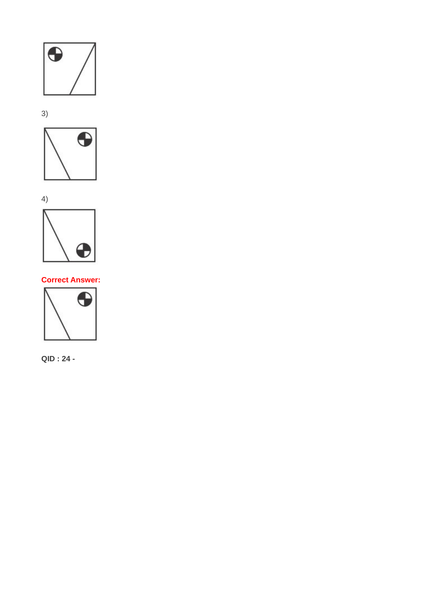



**Correct Answer:**

⊕

 $\bigodot$ 

**QID : 24 -**



3)

4)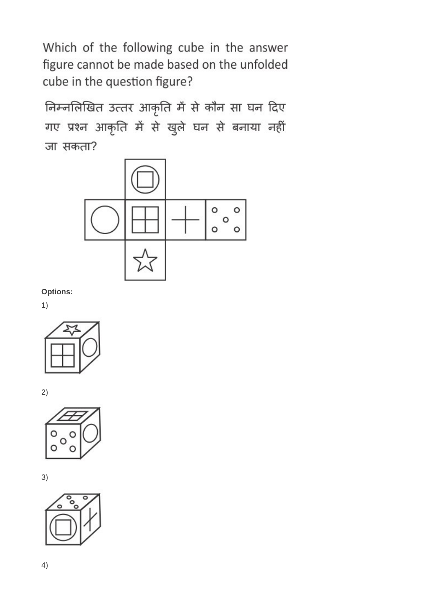Which of the following cube in the answer figure cannot be made based on the unfolded cube in the question figure?

निम्नलिखित उत्तर आकृति में से कौन सा घन दिए गए प्रश्न आकृति में से खुले घन से बनाया नहीं जा सकता?



**Options:**

1)



2)



3)